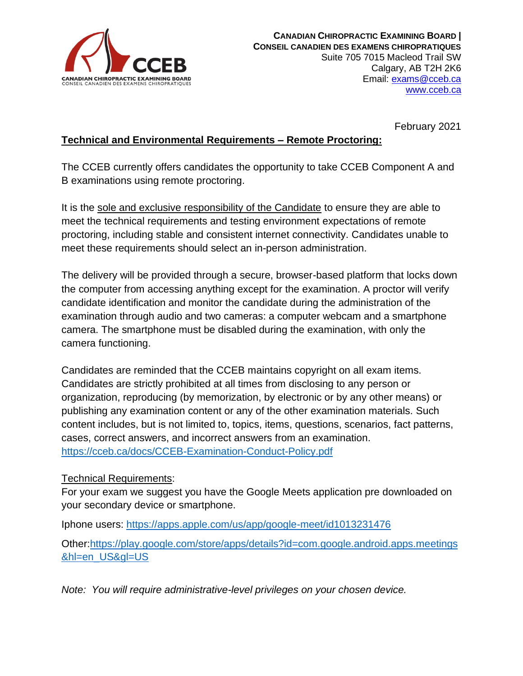

February 2021

# **Technical and Environmental Requirements – Remote Proctoring:**

The CCEB currently offers candidates the opportunity to take CCEB Component A and B examinations using remote proctoring.

It is the sole and exclusive responsibility of the Candidate to ensure they are able to meet the technical requirements and testing environment expectations of remote proctoring, including stable and consistent internet connectivity. Candidates unable to meet these requirements should select an in-person administration.

The delivery will be provided through a secure, browser-based platform that locks down the computer from accessing anything except for the examination. A proctor will verify candidate identification and monitor the candidate during the administration of the examination through audio and two cameras: a computer webcam and a smartphone camera. The smartphone must be disabled during the examination, with only the camera functioning.

Candidates are reminded that the CCEB maintains copyright on all exam items. Candidates are strictly prohibited at all times from disclosing to any person or organization, reproducing (by memorization, by electronic or by any other means) or publishing any examination content or any of the other examination materials. Such content includes, but is not limited to, topics, items, questions, scenarios, fact patterns, cases, correct answers, and incorrect answers from an examination. <https://cceb.ca/docs/CCEB-Examination-Conduct-Policy.pdf>

#### Technical Requirements:

For your exam we suggest you have the Google Meets application pre downloaded on your secondary device or smartphone.

Iphone users: [https://apps.apple.com/us/app/google-meet/id1013231476](https://urldefense.proofpoint.com/v2/url?u=https-3A__apps.apple.com_us_app_google-2Dmeet_id1013231476&d=DwMFAg&c=euGZstcaTDllvimEN8b7jXrwqOf-v5A_CdpgnVfiiMM&r=WhR2pm9DT3Haubk48ckwqg&m=2kbhV2pElWHcEvMNtz5xc1yg0E7WSSad1P48fHfEqrE&s=71ub9bQLv2su7LkF2LFbod2E-vCcbjf0I4Kz8Wnmku4&e=)

Other[:https://play.google.com/store/apps/details?id=com.google.android.apps.meetings](https://urldefense.proofpoint.com/v2/url?u=https-3A__play.google.com_store_apps_details-3Fid-3Dcom.google.android.apps.meetings-26hl-3Den-5FUS-26gl-3DUS&d=DwMFAg&c=euGZstcaTDllvimEN8b7jXrwqOf-v5A_CdpgnVfiiMM&r=WhR2pm9DT3Haubk48ckwqg&m=2kbhV2pElWHcEvMNtz5xc1yg0E7WSSad1P48fHfEqrE&s=br0lfqppU7JzfSSQUp5xGOc0yuWtIVbARkTXPGA9WLk&e=) [&hl=en\\_US&gl=US](https://urldefense.proofpoint.com/v2/url?u=https-3A__play.google.com_store_apps_details-3Fid-3Dcom.google.android.apps.meetings-26hl-3Den-5FUS-26gl-3DUS&d=DwMFAg&c=euGZstcaTDllvimEN8b7jXrwqOf-v5A_CdpgnVfiiMM&r=WhR2pm9DT3Haubk48ckwqg&m=2kbhV2pElWHcEvMNtz5xc1yg0E7WSSad1P48fHfEqrE&s=br0lfqppU7JzfSSQUp5xGOc0yuWtIVbARkTXPGA9WLk&e=)

*Note: You will require administrative-level privileges on your chosen device.*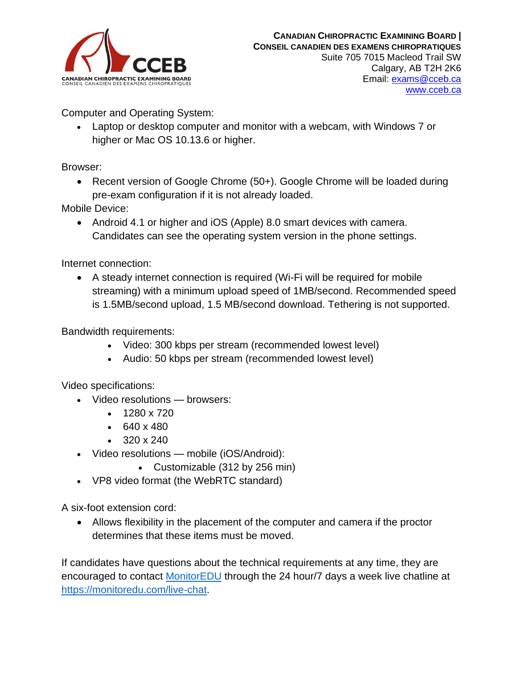

Computer and Operating System:

• Laptop or desktop computer and monitor with a webcam, with Windows 7 or higher or Mac OS 10.13.6 or higher.

Browser:

• Recent version of Google Chrome (50+). Google Chrome will be loaded during pre-exam configuration if it is not already loaded.

Mobile Device:

• Android 4.1 or higher and iOS (Apple) 8.0 smart devices with camera. Candidates can see the operating system version in the phone settings.

Internet connection:

• A steady internet connection is required (Wi-Fi will be required for mobile streaming) with a minimum upload speed of 1MB/second. Recommended speed is 1.5MB/second upload, 1.5 MB/second download. Tethering is not supported.

### Bandwidth requirements:

- Video: 300 kbps per stream (recommended lowest level)
- Audio: 50 kbps per stream (recommended lowest level)

Video specifications:

- Video resolutions browsers:
	- 1280 x 720
	- $640 \times 480$
	- $320 \times 240$
- Video resolutions mobile (iOS/Android):
	- Customizable (312 by 256 min)
- VP8 video format (the WebRTC standard)

A six-foot extension cord:

• Allows flexibility in the placement of the computer and camera if the proctor determines that these items must be moved.

If candidates have questions about the technical requirements at any time, they are encouraged to contact [MonitorEDU](https://monitoredu.com/live-chat) through the 24 hour/7 days a week live chatline at [https://monitoredu.com/live-chat.](https://monitoredu.com/live-chat)